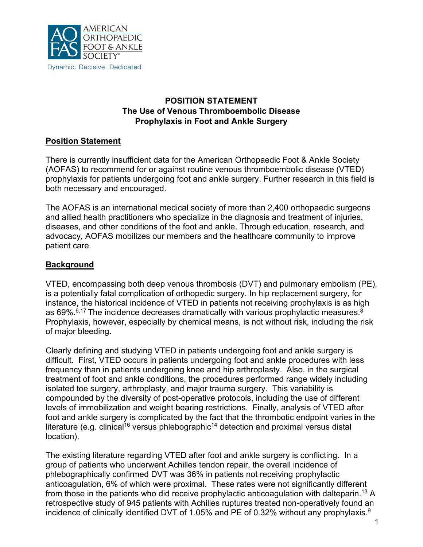

## **POSITION STATEMENT The Use of Venous Thromboembolic Disease Prophylaxis in Foot and Ankle Surgery**

## **Position Statement**

There is currently insufficient data for the American Orthopaedic Foot & Ankle Society (AOFAS) to recommend for or against routine venous thromboembolic disease (VTED) prophylaxis for patients undergoing foot and ankle surgery. Further research in this field is both necessary and encouraged.

The AOFAS is an international medical society of more than 2,400 orthopaedic surgeons and allied health practitioners who specialize in the diagnosis and treatment of injuries, diseases, and other conditions of the foot and ankle. Through education, research, and advocacy, AOFAS mobilizes our members and the healthcare community to improve patient care.

# **Background**

VTED, encompassing both deep venous thrombosis (DVT) and pulmonary embolism (PE), is a potentially fatal complication of orthopedic surgery. In hip replacement surgery, for instance, the historical incidence of VTED in patients not receiving prophylaxis is as high as 69%. $\mathrm{^{6,17}}$  The incidence decreases dramatically with various prophylactic measures. $\mathrm{^{8}}$ Prophylaxis, however, especially by chemical means, is not without risk, including the risk of major bleeding.

Clearly defining and studying VTED in patients undergoing foot and ankle surgery is difficult. First, VTED occurs in patients undergoing foot and ankle procedures with less frequency than in patients undergoing knee and hip arthroplasty. Also, in the surgical treatment of foot and ankle conditions, the procedures performed range widely including isolated toe surgery, arthroplasty, and major trauma surgery. This variability is compounded by the diversity of post-operative protocols, including the use of different levels of immobilization and weight bearing restrictions. Finally, analysis of VTED after foot and ankle surgery is complicated by the fact that the thrombotic endpoint varies in the literature (e.g. clinical<sup>16</sup> versus phlebographic<sup>14</sup> detection and proximal versus distal location).

The existing literature regarding VTED after foot and ankle surgery is conflicting. In a group of patients who underwent Achilles tendon repair, the overall incidence of phlebographically confirmed DVT was 36% in patients not receiving prophylactic anticoagulation, 6% of which were proximal. These rates were not significantly different from those in the patients who did receive prophylactic anticoagulation with dalteparin. <sup>13</sup> A retrospective study of 945 patients with Achilles ruptures treated non-operatively found an incidence of clinically identified DVT of 1.05% and PE of 0.32% without any prophylaxis.<sup>9</sup>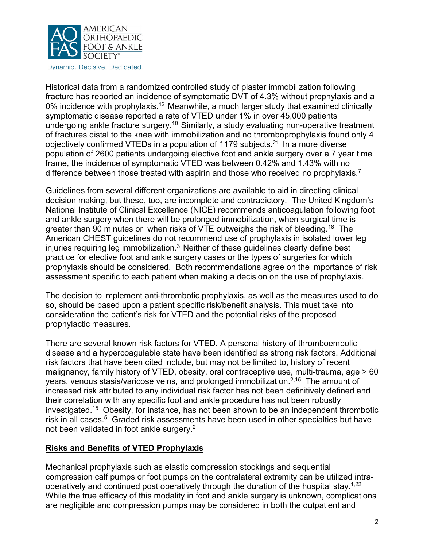

Dynamic. Decisive. Dedicated.

Historical data from a randomized controlled study of plaster immobilization following fracture has reported an incidence of symptomatic DVT of 4.3% without prophylaxis and a 0% incidence with prophylaxis.<sup>12</sup> Meanwhile, a much larger study that examined clinically symptomatic disease reported a rate of VTED under 1% in over 45,000 patients undergoing ankle fracture surgery.<sup>10</sup> Similarly, a study evaluating non-operative treatment of fractures distal to the knee with immobilization and no thromboprophylaxis found only 4 objectively confirmed VTEDs in a population of 1179 subjects.<sup>21</sup> In a more diverse population of 2600 patients undergoing elective foot and ankle surgery over a 7 year time frame, the incidence of symptomatic VTED was between 0.42% and 1.43% with no difference between those treated with aspirin and those who received no prophylaxis.<sup>7</sup>

Guidelines from several different organizations are available to aid in directing clinical decision making, but these, too, are incomplete and contradictory. The United Kingdom's National Institute of Clinical Excellence (NICE) recommends anticoagulation following foot and ankle surgery when there will be prolonged immobilization, when surgical time is greater than 90 minutes or when risks of VTE outweighs the risk of bleeding.18 The American CHEST guidelines do not recommend use of prophylaxis in isolated lower leg injuries requiring leg immobilization.<sup>3</sup> Neither of these guidelines clearly define best practice for elective foot and ankle surgery cases or the types of surgeries for which prophylaxis should be considered. Both recommendations agree on the importance of risk assessment specific to each patient when making a decision on the use of prophylaxis.

The decision to implement anti-thrombotic prophylaxis, as well as the measures used to do so, should be based upon a patient specific risk/benefit analysis. This must take into consideration the patient's risk for VTED and the potential risks of the proposed prophylactic measures.

There are several known risk factors for VTED. A personal history of thromboembolic disease and a hypercoagulable state have been identified as strong risk factors. Additional risk factors that have been cited include, but may not be limited to, history of recent malignancy, family history of VTED, obesity, oral contraceptive use, multi-trauma, age > 60 years, venous stasis/varicose veins, and prolonged immobilization.<sup>2,15</sup> The amount of increased risk attributed to any individual risk factor has not been definitively defined and their correlation with any specific foot and ankle procedure has not been robustly investigated. 15 Obesity, for instance, has not been shown to be an independent thrombotic risk in all cases. 5 Graded risk assessments have been used in other specialties but have not been validated in foot ankle surgery. $^{\mathsf{2}}$ 

### **Risks and Benefits of VTED Prophylaxis**

Mechanical prophylaxis such as elastic compression stockings and sequential compression calf pumps or foot pumps on the contralateral extremity can be utilized intraoperatively and continued post operatively through the duration of the hospital stay. $^{1,22}$ While the true efficacy of this modality in foot and ankle surgery is unknown, complications are negligible and compression pumps may be considered in both the outpatient and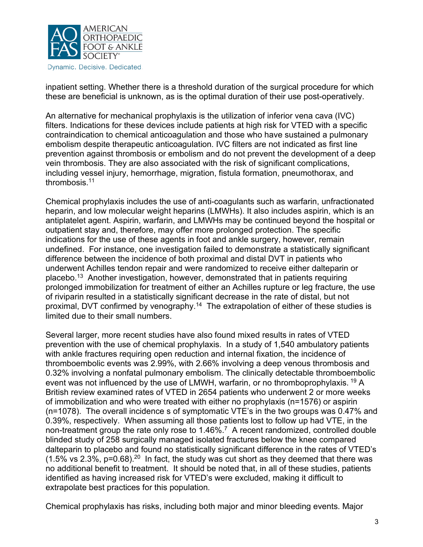

Dynamic. Decisive. Dedicated.

inpatient setting. Whether there is a threshold duration of the surgical procedure for which these are beneficial is unknown, as is the optimal duration of their use post-operatively.

An alternative for mechanical prophylaxis is the utilization of inferior vena cava (IVC) filters. Indications for these devices include patients at high risk for VTED with a specific contraindication to chemical anticoagulation and those who have sustained a pulmonary embolism despite therapeutic anticoagulation. IVC filters are not indicated as first line prevention against thrombosis or embolism and do not prevent the development of a deep vein thrombosis. They are also associated with the risk of significant complications, including vessel injury, hemorrhage, migration, fistula formation, pneumothorax, and thrombosis.11

Chemical prophylaxis includes the use of anti-coagulants such as warfarin, unfractionated heparin, and low molecular weight heparins (LMWHs). It also includes aspirin, which is an antiplatelet agent. Aspirin, warfarin, and LMWHs may be continued beyond the hospital or outpatient stay and, therefore, may offer more prolonged protection. The specific indications for the use of these agents in foot and ankle surgery, however, remain undefined. For instance, one investigation failed to demonstrate a statistically significant difference between the incidence of both proximal and distal DVT in patients who underwent Achilles tendon repair and were randomized to receive either dalteparin or placebo.13 Another investigation, however, demonstrated that in patients requiring prolonged immobilization for treatment of either an Achilles rupture or leg fracture, the use of riviparin resulted in a statistically significant decrease in the rate of distal, but not proximal, DVT confirmed by venography.<sup>14</sup> The extrapolation of either of these studies is limited due to their small numbers.

Several larger, more recent studies have also found mixed results in rates of VTED prevention with the use of chemical prophylaxis. In a study of 1,540 ambulatory patients with ankle fractures requiring open reduction and internal fixation, the incidence of thromboembolic events was 2.99%, with 2.66% involving a deep venous thrombosis and 0.32% involving a nonfatal pulmonary embolism. The clinically detectable thromboembolic event was not influenced by the use of LMWH, warfarin, or no thromboprophylaxis. <sup>19</sup> A British review examined rates of VTED in 2654 patients who underwent 2 or more weeks of immobilization and who were treated with either no prophylaxis (n=1576) or aspirin (n=1078). The overall incidence s of symptomatic VTE's in the two groups was 0.47% and 0.39%, respectively. When assuming all those patients lost to follow up had VTE, in the non-treatment group the rate only rose to 1.46%.7 A recent randomized, controlled double blinded study of 258 surgically managed isolated fractures below the knee compared dalteparin to placebo and found no statistically significant difference in the rates of VTED's  $(1.5\% \text{ vs } 2.3\%, \text{ p=0.68}).^{20}$  In fact, the study was cut short as they deemed that there was no additional benefit to treatment. It should be noted that, in all of these studies, patients identified as having increased risk for VTED's were excluded, making it difficult to extrapolate best practices for this population*.* 

Chemical prophylaxis has risks, including both major and minor bleeding events. Major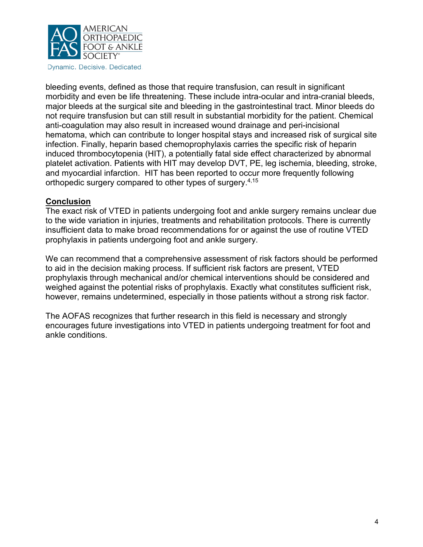

Dynamic. Decisive. Dedicated.

bleeding events, defined as those that require transfusion, can result in significant morbidity and even be life threatening. These include intra-ocular and intra-cranial bleeds, major bleeds at the surgical site and bleeding in the gastrointestinal tract. Minor bleeds do not require transfusion but can still result in substantial morbidity for the patient. Chemical anti-coagulation may also result in increased wound drainage and peri-incisional hematoma, which can contribute to longer hospital stays and increased risk of surgical site infection. Finally, heparin based chemoprophylaxis carries the specific risk of heparin induced thrombocytopenia (HIT), a potentially fatal side effect characterized by abnormal platelet activation. Patients with HIT may develop DVT, PE, leg ischemia, bleeding, stroke, and myocardial infarction. HIT has been reported to occur more frequently following orthopedic surgery compared to other types of surgery.4,15

### **Conclusion**

The exact risk of VTED in patients undergoing foot and ankle surgery remains unclear due to the wide variation in injuries, treatments and rehabilitation protocols. There is currently insufficient data to make broad recommendations for or against the use of routine VTED prophylaxis in patients undergoing foot and ankle surgery.

We can recommend that a comprehensive assessment of risk factors should be performed to aid in the decision making process. If sufficient risk factors are present, VTED prophylaxis through mechanical and/or chemical interventions should be considered and weighed against the potential risks of prophylaxis. Exactly what constitutes sufficient risk, however, remains undetermined, especially in those patients without a strong risk factor.

The AOFAS recognizes that further research in this field is necessary and strongly encourages future investigations into VTED in patients undergoing treatment for foot and ankle conditions.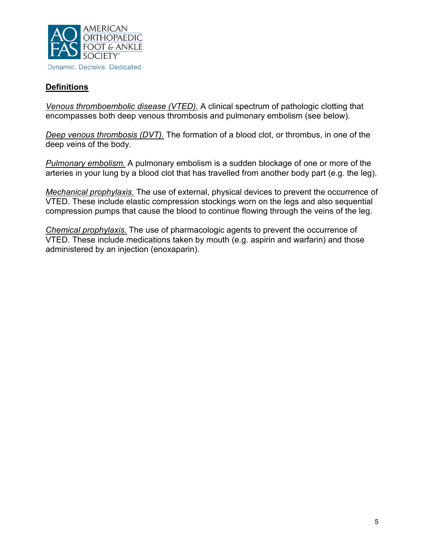

# **Definitions**

*Venous thromboembolic disease (VTED).* A clinical spectrum of pathologic clotting that encompasses both deep venous thrombosis and pulmonary embolism (see below).

*Deep venous thrombosis (DVT).* The formation of a blood clot, or thrombus, in one of the deep veins of the body.

*Pulmonary embolism.* A pulmonary embolism is a sudden blockage of one or more of the arteries in your lung by a blood clot that has travelled from another body part (e.g. the leg).

*Mechanical prophylaxis.* The use of external, physical devices to prevent the occurrence of VTED. These include elastic compression stockings worn on the legs and also sequential compression pumps that cause the blood to continue flowing through the veins of the leg.

*Chemical prophylaxis.* The use of pharmacologic agents to prevent the occurrence of VTED. These include medications taken by mouth (e.g. aspirin and warfarin) and those administered by an injection (enoxaparin).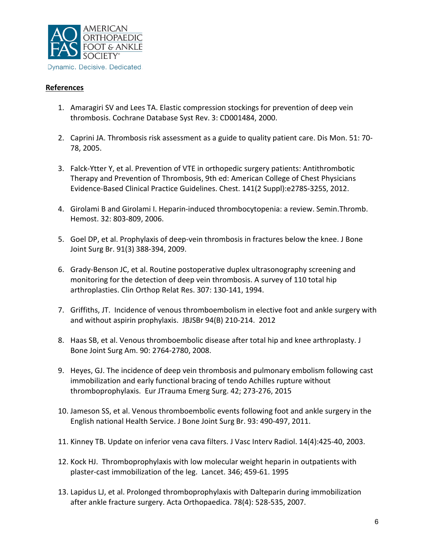

### **References**

- 1. Amaragiri SV and Lees TA. Elastic compression stockings for prevention of deep vein thrombosis. Cochrane Database Syst Rev. 3: CD001484, 2000.
- 2. Caprini JA. Thrombosis risk assessment as a guide to quality patient care. Dis Mon. 51: 70- 78, 2005.
- 3. Falck-Ytter Y, et al. Prevention of VTE in orthopedic surgery patients: Antithrombotic Therapy and Prevention of Thrombosis, 9th ed: American College of Chest Physicians Evidence-Based Clinical Practice Guidelines. Chest. 141(2 Suppl):e278S-325S, 2012.
- 4. Girolami B and Girolami I. Heparin-induced thrombocytopenia: a review. Semin.Thromb. Hemost. 32: 803-809, 2006.
- 5. Goel DP, et al. Prophylaxis of deep-vein thrombosis in fractures below the knee. J Bone Joint Surg Br. 91(3) 388-394, 2009.
- 6. Grady-Benson JC, et al. Routine postoperative duplex ultrasonography screening and monitoring for the detection of deep vein thrombosis. A survey of 110 total hip arthroplasties. Clin Orthop Relat Res. 307: 130-141, 1994.
- 7. Griffiths, JT. Incidence of venous thromboembolism in elective foot and ankle surgery with and without aspirin prophylaxis. JBJSBr 94(B) 210-214. 2012
- 8. Haas SB, et al. Venous thromboembolic disease after total hip and knee arthroplasty. J Bone Joint Surg Am. 90: 2764-2780, 2008.
- 9. Heyes, GJ. The incidence of deep vein thrombosis and pulmonary embolism following cast immobilization and early functional bracing of tendo Achilles rupture without thromboprophylaxis. Eur JTrauma Emerg Surg. 42; 273-276, 2015
- 10. Jameson SS, et al. Venous thromboembolic events following foot and ankle surgery in the English national Health Service. J Bone Joint Surg Br. 93: 490-497, 2011.
- 11. Kinney TB. Update on inferior vena cava filters. J Vasc Interv Radiol. 14(4):425-40, 2003.
- 12. Kock HJ. Thromboprophylaxis with low molecular weight heparin in outpatients with plaster-cast immobilization of the leg. Lancet. 346; 459-61. 1995
- 13. Lapidus LJ, et al. Prolonged thromboprophylaxis with Dalteparin during immobilization after ankle fracture surgery. Acta Orthopaedica. 78(4): 528-535, 2007.